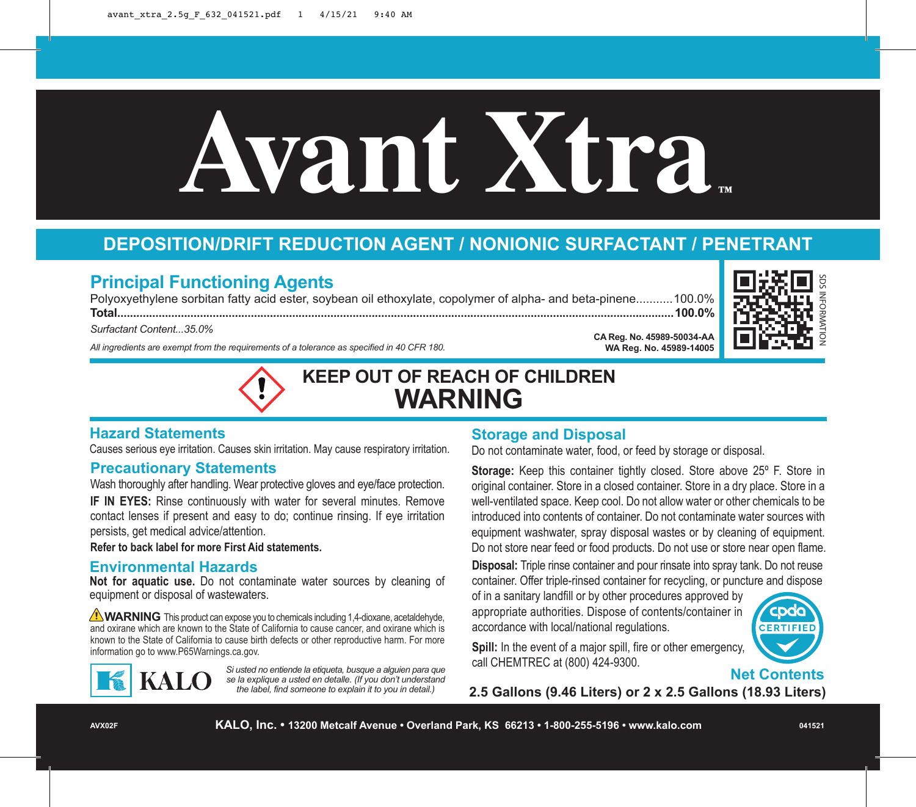# **Avant Xtra ™**

# **DEPOSITION/DRIFT REDUCTION AGENT / NONIONIC SURFACTANT / PENETRANT**

# **Principal Functioning Agents**

Polyoxyethylene sorbitan fatty acid ester, soybean oil ethoxylate, copolymer of alpha- and beta-pinene...........100.0% **Total...............................................................................................................................................................................100.0%**

*Surfactant Content...35.0%*

*All ingredients are exempt from the requirements of a tolerance as specified in 40 CFR 180.*



# **Hazard Statements**

Causes serious eye irritation. Causes skin irritation. May cause respiratory irritation.

## **Precautionary Statements**

Wash thoroughly after handling. Wear protective gloves and eye/face protection. **IF IN EYES:** Rinse continuously with water for several minutes. Remove contact lenses if present and easy to do; continue rinsing. If eye irritation persists, get medical advice/attention.

**Refer to back label for more First Aid statements.**

## **Environmental Hazards**

**Not for aquatic use.** Do not contaminate water sources by cleaning of equipment or disposal of wastewaters.

WARNING This product can expose you to chemicals including 1,4-dioxane, acetaldehyde, and oxirane which are known to the State of California to cause cancer, and oxirane which is known to the State of California to cause birth defects or other reproductive harm. For more information go to www.P65Warnings.ca.gov.



*Si usted no entiende la etiqueta, busque a alguien para que se la explique a usted en detalle. (If you don't understand the label, find someone to explain it to you in detail.)*

# **Storage and Disposal**

Do not contaminate water, food, or feed by storage or disposal.

**Storage:** Keep this container tightly closed. Store above 25° F. Store in original container. Store in a closed container. Store in a dry place. Store in a well-ventilated space. Keep cool. Do not allow water or other chemicals to be introduced into contents of container. Do not contaminate water sources with equipment washwater, spray disposal wastes or by cleaning of equipment. Do not store near feed or food products. Do not use or store near open flame.

**CA Reg. No. 45989-50034-AA WA Reg. No. 45989-14005**

**Disposal:** Triple rinse container and pour rinsate into spray tank. Do not reuse container. Offer triple-rinsed container for recycling, or puncture and dispose

of in a sanitary landfill or by other procedures approved by appropriate authorities. Dispose of contents/container in accordance with local/national regulations.



**Spill:** In the event of a major spill, fire or other emergency, call CHEMTREC at (800) 424-9300.

**Net Contents**

**2.5 Gallons (9.46 Liters) or 2 x 2.5 Gallons (18.93 Liters)**

**AVX02F**

**KALO, Inc. • 13200 Metcalf Avenue • Overland Park, KS 66213 • 1-800-255-5196 • www.kalo.com**

SDS INFORMATION